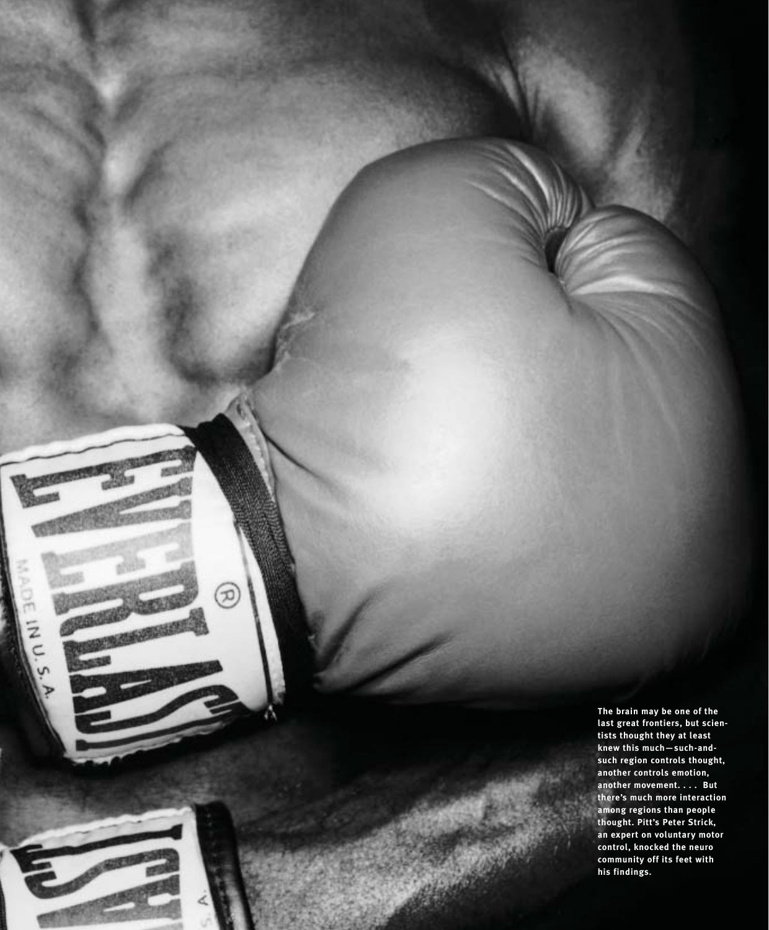**The brain may be one of the last great frontiers, but scientists thought they at least knew this much—such-andsuch region controls thought, another controls emotion, another movement. . . . But there's much more interaction among regions than people thought. Pitt's Peter Strick, an expert on voluntary motor control, knocked the neuro community off its feet with his findings.**

分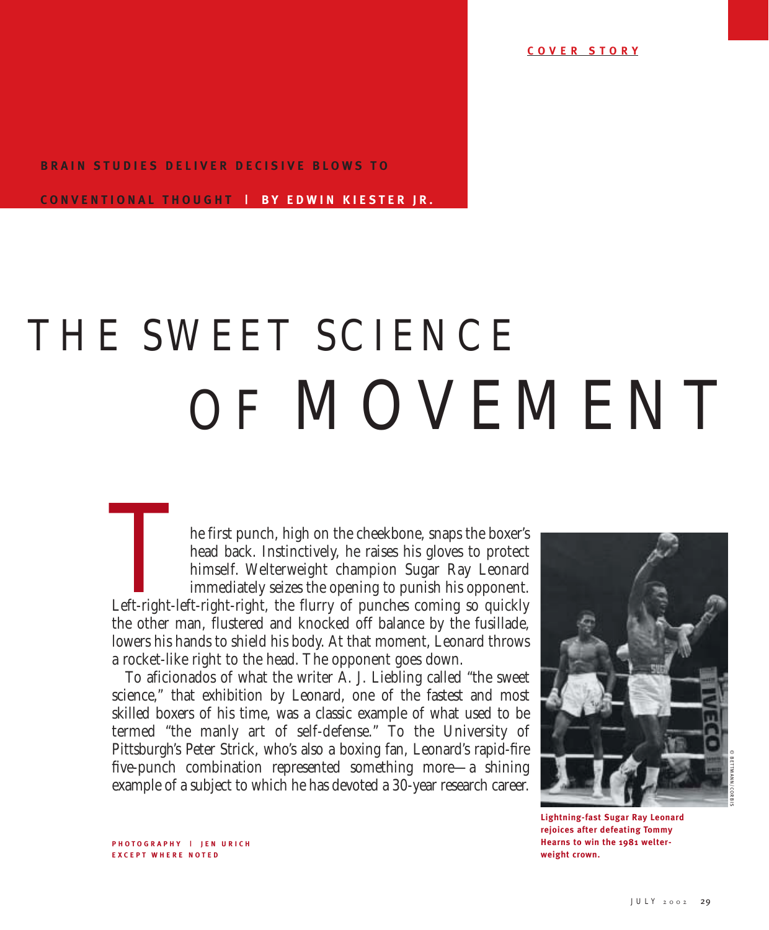**C O VER STORY**

## **BRAIN STUDIES DELIVER DECISIVE BLOWS TO**

**C ONVENTIONAL THOUGHT | B Y E DWIN KIESTER JR.**

## THE SWEET SCIENCE OF MOVEMENT

he first punch, high on the cheekbone, snaps the boxer's head back. Instinctively, he raises his gloves to protect himself. Welterweight champion Sugar Ray Leonard immediately seizes the opening to punish his opponent. Left-right-left-right-right, the flurry of punches coming so quickly the other man, flustered and knocked off balance by the fusillade, lowers his hands to shield his body. At that moment, Leonard throws a rocket-like right to the head. The opponent goes down. Left-right-left<br>the other may

To aficionados of what the writer A. J. Liebling called "the sweet science," that exhibition by Leonard, one of the fastest and most skilled boxers of his time, was a classic example of what used to be termed "the manly art of self-defense." To the University of Pittsburgh's Peter Strick, who's also a boxing fan, Leonard's rapid-fire five-punch combination represented something more—a shining example of a subject to which he has devoted a 30-year research career.



**weight crown.** 

© BETTMANN/CORBIS

**PHOTOGRAPHY | JEN URICH E X CEPT WHERE NOTED**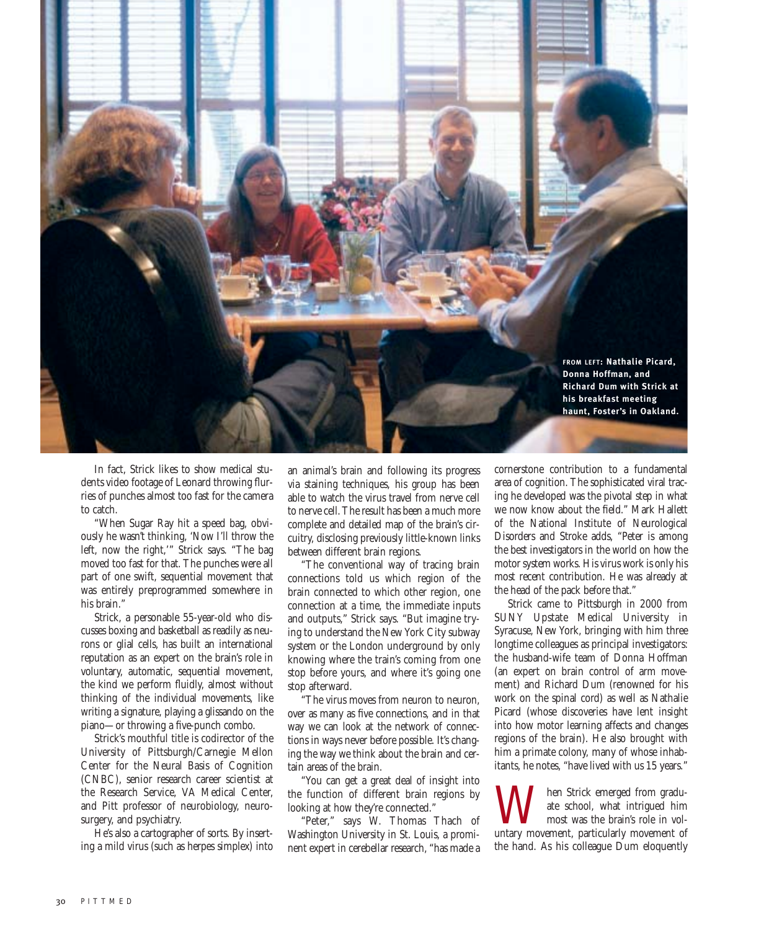

In fact, Strick likes to show medical students video footage of Leonard throwing flurries of punches almost too fast for the camera to catch.

"When Sugar Ray hit a speed bag, obviously he wasn't thinking, 'Now I'll throw the left, now the right,'" Strick says. "The bag moved too fast for that. The punches were all part of one swift, sequential movement that was entirely preprogrammed somewhere in his brain."

Strick, a personable 55-year-old who discusses boxing and basketball as readily as neurons or glial cells, has built an international reputation as an expert on the brain's role in voluntary, automatic, sequential movement, the kind we perform fluidly, almost without thinking of the individual movements, like writing a signature, playing a glissando on the piano—or throwing a five-punch combo.

Strick's mouthful title is codirector of the University of Pittsburgh/Carnegie Mellon Center for the Neural Basis of Cognition (CNBC), senior research career scientist at the Research Service, VA Medical Center, and Pitt professor of neurobiology, neurosurgery, and psychiatry.

He's also a cartographer of sorts. By inserting a mild virus (such as herpes simplex) into an animal's brain and following its progress via staining techniques, his group has been able to watch the virus travel from nerve cell to nerve cell. The result has been a much more complete and detailed map of the brain's circuitry, disclosing previously little-known links between different brain regions.

"The conventional way of tracing brain connections told us which region of the brain connected to which other region, one connection at a time, the immediate inputs and outputs," Strick says. "But imagine trying to understand the New York City subway system or the London underground by only knowing where the train's coming from one stop before yours, and where it's going one stop afterward.

"The virus moves from neuron to neuron, over as many as five connections, and in that way we can look at the network of connections in ways never before possible. It's changing the way we think about the brain and certain areas of the brain.

"You can get a great deal of insight into the function of different brain regions by looking at how they're connected."

"Peter," says W. Thomas Thach of Washington University in St. Louis, a prominent expert in cerebellar research, "has made a cornerstone contribution to a fundamental area of cognition. The sophisticated viral tracing he developed was the pivotal step in what we now know about the field." Mark Hallett of the National Institute of Neurological Disorders and Stroke adds, "Peter is among the best investigators in the world on how the motor system works. His virus work is only his most recent contribution. He was already at the head of the pack before that."

Strick came to Pittsburgh in 2000 from SUNY Upstate Medical University in Syracuse, New York, bringing with him three longtime colleagues as principal investigators: the husband-wife team of Donna Hoffman (an expert on brain control of arm movement) and Richard Dum (renowned for his work on the spinal cord) as well as Nathalie Picard (whose discoveries have lent insight into how motor learning affects and changes regions of the brain). He also brought with him a primate colony, many of whose inhabitants, he notes, "have lived with us 15 years."

When Strick emerged from gradu-<br>
most was the brain's role in voluntary<br>
movement, particularly movement of ate school, what intrigued him most was the brain's role in volthe hand. As his colleague Dum eloquently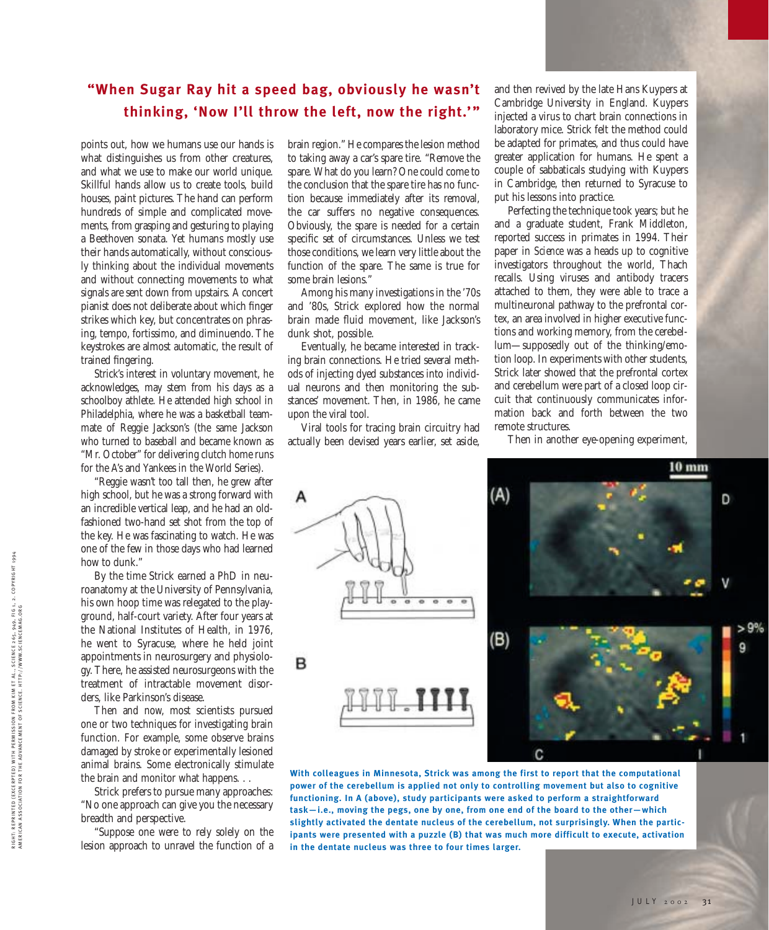## **"When Sugar Ray hit a speed bag, obviously he wasn't thinking, 'Now I'll throw the left, now the right.'"**

points out, how we humans use our hands is what distinguishes us from other creatures, and what we use to make our world unique. Skillful hands allow us to create tools, build houses, paint pictures. The hand can perform hundreds of simple and complicated movements, from grasping and gesturing to playing a Beethoven sonata. Yet humans mostly use their hands automatically, without consciously thinking about the individual movements and without connecting movements to what signals are sent down from upstairs. A concert pianist does not deliberate about which finger strikes which key, but concentrates on phrasing, tempo, fortissimo, and diminuendo. The keystrokes are almost automatic, the result of trained fingering.

Strick's interest in voluntary movement, he acknowledges, may stem from his days as a schoolboy athlete. He attended high school in Philadelphia, where he was a basketball teammate of Reggie Jackson's (the same Jackson who turned to baseball and became known as "Mr. October" for delivering clutch home runs for the A's and Yankees in the World Series).

"Reggie wasn't too tall then, he grew after high school, but he was a strong forward with an incredible vertical leap, and he had an oldfashioned two-hand set shot from the top of the key. He was fascinating to watch. He was one of the few in those days who had learned how to dunk."

By the time Strick earned a PhD in neuroanatomy at the University of Pennsylvania, his own hoop time was relegated to the playground, half-court variety. After four years at the National Institutes of Health, in 1976, he went to Syracuse, where he held joint appointments in neurosurgery and physiology. There, he assisted neurosurgeons with the treatment of intractable movement disorders, like Parkinson's disease.

Then and now, most scientists pursued one or two techniques for investigating brain function. For example, some observe brains damaged by stroke or experimentally lesioned animal brains. Some electronically stimulate the brain and monitor what happens. . .

Strick prefers to pursue many approaches: "No one approach can give you the necessary breadth and perspective.

"Suppose one were to rely solely on the lesion approach to unravel the function of a brain region." He compares the lesion method to taking away a car's spare tire. "Remove the spare. What do you learn? One could come to the conclusion that the spare tire has no function because immediately after its removal, the car suffers no negative consequences. Obviously, the spare is needed for a certain specific set of circumstances. Unless we test those conditions, we learn very little about the function of the spare. The same is true for some brain lesions."

Among his many investigations in the '70s and '80s, Strick explored how the normal brain made fluid movement, like Jackson's dunk shot, possible.

Eventually, he became interested in tracking brain connections. He tried several methods of injecting dyed substances into individual neurons and then monitoring the substances' movement. Then, in 1986, he came upon the viral tool.

Viral tools for tracing brain circuitry had actually been devised years earlier, set aside,

and then revived by the late Hans Kuypers at Cambridge University in England. Kuypers injected a virus to chart brain connections in laboratory mice. Strick felt the method could be adapted for primates, and thus could have greater application for humans. He spent a couple of sabbaticals studying with Kuypers in Cambridge, then returned to Syracuse to put his lessons into practice.

Perfecting the technique took years; but he and a graduate student, Frank Middleton, reported success in primates in 1994. Their paper in *Science* was a heads up to cognitive investigators throughout the world, Thach recalls. Using viruses and antibody tracers attached to them, they were able to trace a multineuronal pathway to the prefrontal cortex, an area involved in higher executive functions and working memory, from the cerebellum—supposedly out of the thinking/emotion loop. In experiments with other students, Strick later showed that the prefrontal cortex and cerebellum were part of a closed loop circuit that continuously communicates information back and forth between the two remote structures.

Then in another eye-opening experiment,



**With colleagues in Minnesota, Strick was among the first to report that the computational power of the cerebellum is applied not only to controlling movement but also to cognitive functioning. In A (above), study participants were asked to perform a straightforward task—i.e., moving the pegs, one by one, from one end of the board to the other—which slightly activated the dentate nucleus of the cerebellum, not surprisingly. When the participants were presented with a puzzle (B) that was much more difficult to execute, activation in the dentate nucleus was three to four times larger.**